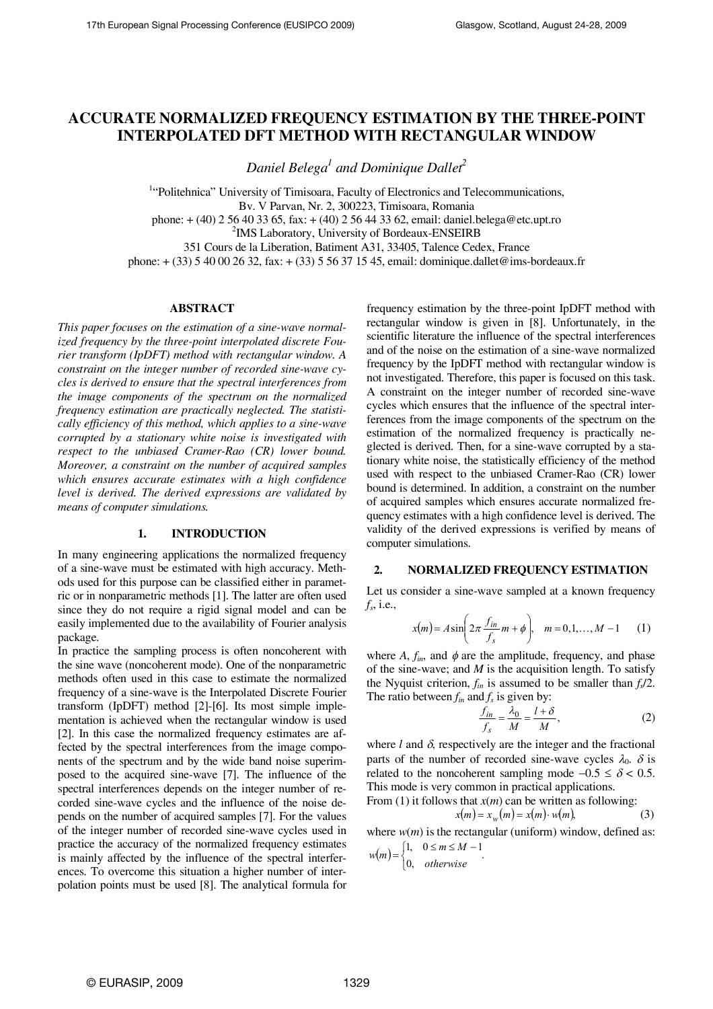# **ACCURATE NORMALIZED FREQUENCY ESTIMATION BY THE THREE-POINT INTERPOLATED DFT METHOD WITH RECTANGULAR WINDOW**

*Daniel Belega<sup>1</sup> and Dominique Dallet<sup>2</sup>*

<sup>1</sup>"Politehnica" University of Timisoara, Faculty of Electronics and Telecommunications, Bv. V Parvan, Nr. 2, 300223, Timisoara, Romania

phone: + (40) 2 56 40 33 65, fax: + (40) 2 56 44 33 62, email: daniel.belega@etc.upt.ro

<sup>2</sup>IMS Laboratory, University of Bordeaux-ENSEIRB

351 Cours de la Liberation, Batiment A31, 33405, Talence Cedex, France

phone: + (33) 5 40 00 26 32, fax: + (33) 5 56 37 15 45, email: dominique.dallet@ims-bordeaux.fr

#### **ABSTRACT**

*This paper focuses on the estimation of a sine-wave normalized frequency by the three-point interpolated discrete Fourier transform (IpDFT) method with rectangular window. A constraint on the integer number of recorded sine-wave cycles is derived to ensure that the spectral interferences from the image components of the spectrum on the normalized frequency estimation are practically neglected. The statistically efficiency of this method, which applies to a sine-wave corrupted by a stationary white noise is investigated with respect to the unbiased Cramer-Rao (CR) lower bound. Moreover, a constraint on the number of acquired samples which ensures accurate estimates with a high confidence level is derived. The derived expressions are validated by means of computer simulations.* 

#### **1. INTRODUCTION**

In many engineering applications the normalized frequency of a sine-wave must be estimated with high accuracy. Methods used for this purpose can be classified either in parametric or in nonparametric methods [1]. The latter are often used since they do not require a rigid signal model and can be easily implemented due to the availability of Fourier analysis package.

In practice the sampling process is often noncoherent with the sine wave (noncoherent mode). One of the nonparametric methods often used in this case to estimate the normalized frequency of a sine-wave is the Interpolated Discrete Fourier transform (IpDFT) method [2]-[6]. Its most simple implementation is achieved when the rectangular window is used [2]. In this case the normalized frequency estimates are affected by the spectral interferences from the image components of the spectrum and by the wide band noise superimposed to the acquired sine-wave [7]. The influence of the spectral interferences depends on the integer number of recorded sine-wave cycles and the influence of the noise depends on the number of acquired samples [7]. For the values of the integer number of recorded sine-wave cycles used in practice the accuracy of the normalized frequency estimates is mainly affected by the influence of the spectral interferences. To overcome this situation a higher number of interpolation points must be used [8]. The analytical formula for frequency estimation by the three-point IpDFT method with rectangular window is given in [8]. Unfortunately, in the scientific literature the influence of the spectral interferences and of the noise on the estimation of a sine-wave normalized frequency by the IpDFT method with rectangular window is not investigated. Therefore, this paper is focused on this task. A constraint on the integer number of recorded sine-wave cycles which ensures that the influence of the spectral interferences from the image components of the spectrum on the estimation of the normalized frequency is practically neglected is derived. Then, for a sine-wave corrupted by a stationary white noise, the statistically efficiency of the method used with respect to the unbiased Cramer-Rao (CR) lower bound is determined. In addition, a constraint on the number of acquired samples which ensures accurate normalized frequency estimates with a high confidence level is derived. The validity of the derived expressions is verified by means of computer simulations.

## **2. NORMALIZED FREQUENCY ESTIMATION**

Let us consider a sine-wave sampled at a known frequency *fs* , i.e.,

$$
x(m) = A \sin\left(2\pi \frac{f_{in}}{f_s} m + \phi\right), \quad m = 0, 1, ..., M - 1 \tag{1}
$$

where  $A$ ,  $f_{in}$ , and  $\phi$  are the amplitude, frequency, and phase of the sine-wave; and *M* is the acquisition length. To satisfy the Nyquist criterion,  $f_{in}$  is assumed to be smaller than  $f_s/2$ . The ratio between  $f_{in}$  and  $f_s$  is given by:

$$
\frac{f_{in}}{f_s} = \frac{\lambda_0}{M} = \frac{l + \delta}{M},\tag{2}
$$

where  $l$  and  $\delta$ , respectively are the integer and the fractional parts of the number of recorded sine-wave cycles  $\lambda_0$ .  $\delta$  is related to the noncoherent sampling mode  $-0.5 \le \delta < 0.5$ . This mode is very common in practical applications. From (1) it follows that  $x(m)$  can be written as following:

$$
x(m) = x_w(m) = x(m) \cdot w(m),
$$
 (3)

where  $w(m)$  is the rectangular (uniform) window, defined as:  $(m) = \begin{cases} 1, & 0 \le m \le M-1 \\ 0, & 1 \end{cases}$ 

$$
w(m) = \begin{cases} 1, & 0 \le m \le M - 1 \\ 0, & otherwise \end{cases}.
$$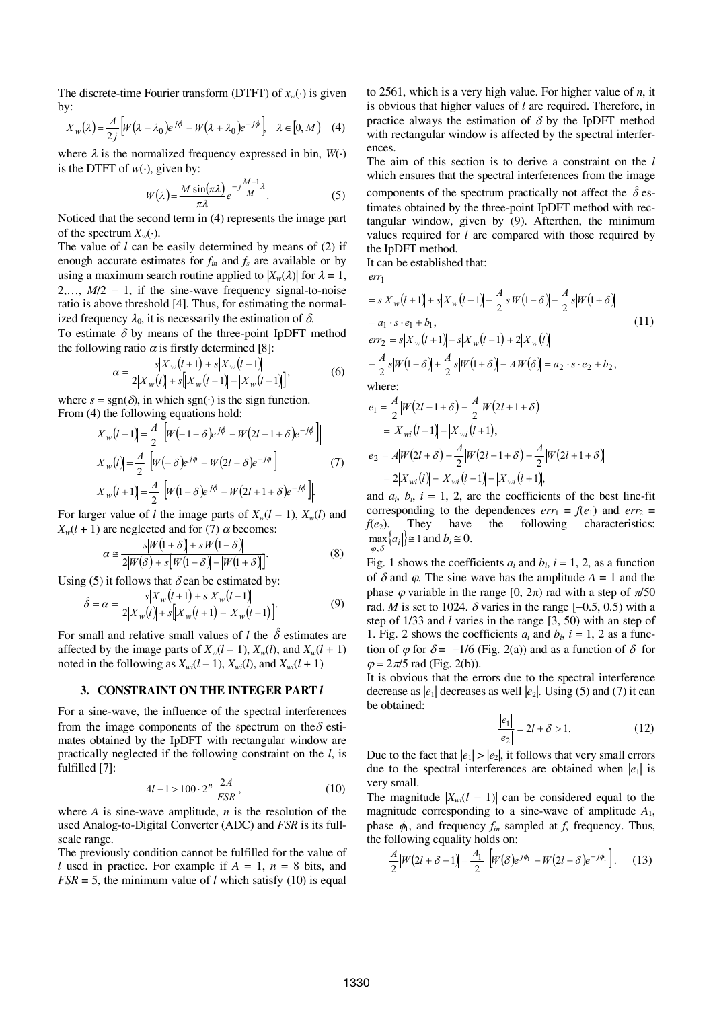The discrete-time Fourier transform (DTFT) of  $x_w(\cdot)$  is given by:

$$
X_w(\lambda) = \frac{A}{2j} \left[ W(\lambda - \lambda_0) e^{j\phi} - W(\lambda + \lambda_0) e^{-j\phi} \right] \quad \lambda \in [0, M) \quad (4)
$$

where  $\lambda$  is the normalized frequency expressed in bin,  $W(\cdot)$ is the DTFT of  $w(\cdot)$ , given by:

$$
W(\lambda) = \frac{M \sin(\pi \lambda)}{\pi \lambda} e^{-j\frac{M-1}{M}\lambda}.
$$
 (5)

Noticed that the second term in (4) represents the image part of the spectrum  $X_w(\cdot)$ .

The value of *l* can be easily determined by means of (2) if enough accurate estimates for  $f_{in}$  and  $f_s$  are available or by using a maximum search routine applied to  $|X_w(\lambda)|$  for  $\lambda = 1$ ,  $2, \ldots, M/2 - 1$ , if the sine-wave frequency signal-to-noise ratio is above threshold [4]. Thus, for estimating the normalized frequency  $\lambda_0$ , it is necessarily the estimation of  $\delta$ .

To estimate  $\delta$  by means of the three-point IpDFT method the following ratio  $\alpha$  is firstly determined [8]:

$$
\alpha = \frac{s|X_{w}(l+1)| + s|X_{w}(l-1)|}{2|X_{w}(l)| + s|X_{w}(l+1)| - |X_{w}(l-1)|},
$$
(6)

where  $s = \text{sgn}(\delta)$ , in which sgn( $\cdot$ ) is the sign function. From (4) the following equations hold:

$$
\begin{aligned} \left| X_w \left( l-1 \right) \right| &= \frac{A}{2} \left| \left[ W \left( -1 - \delta \right) e^{j\phi} - W \left( 2l - 1 + \delta \right) e^{-j\phi} \right] \right| \\ \left| X_w \left( l \right) \right| &= \frac{A}{2} \left| \left[ W \left( -\delta \right) e^{j\phi} - W \left( 2l + \delta \right) e^{-j\phi} \right] \right| \\ \left| X_w \left( l+1 \right) \right| &= \frac{A}{2} \left| \left[ W \left( 1 - \delta \right) e^{j\phi} - W \left( 2l + 1 + \delta \right) e^{-j\phi} \right] \right| \end{aligned} \tag{7}
$$

For larger value of *l* the image parts of  $X_w(l-1)$ ,  $X_w(l)$  and  $X_w(l + 1)$  are neglected and for (7)  $\alpha$  becomes:

$$
\alpha \cong \frac{s|W(1+\delta) + s|W(1-\delta)}{2|W(\delta) + s|W(1-\delta) - |W(1+\delta)|}.
$$
\n(8)

Using (5) it follows that  $\delta$  can be estimated by:

$$
\hat{\delta} = \alpha = \frac{s|X_w(l+1)| + s|X_w(l-1)|}{2|X_w(l)| + s|X_w(l+1)| - |X_w(l-1)|}.
$$
\n(9)

For small and relative small values of *l* the  $\hat{\delta}$  estimates are affected by the image parts of  $X_w(l-1)$ ,  $X_w(l)$ , and  $X_w(l+1)$ noted in the following as  $X_{wi}(l-1)$ ,  $X_{wi}(l)$ , and  $X_{wi}(l+1)$ 

## **3. CONSTRAINT ON THE INTEGER PART** *l*

For a sine-wave, the influence of the spectral interferences from the image components of the spectrum on the  $\delta$  estimates obtained by the IpDFT with rectangular window are practically neglected if the following constraint on the *l*, is fulfilled [7]:

$$
4l - 1 > 100 \cdot 2^n \frac{2A}{FSR},\tag{10}
$$

where *A* is sine-wave amplitude, *n* is the resolution of the used Analog-to-Digital Converter (ADC) and *FSR* is its fullscale range.

The previously condition cannot be fulfilled for the value of *l* used in practice. For example if *A* = 1, *n* = 8 bits, and  $FSR = 5$ , the minimum value of *l* which satisfy (10) is equal to 2561, which is a very high value. For higher value of *n*, it is obvious that higher values of *l* are required. Therefore, in practice always the estimation of  $\delta$  by the IpDFT method with rectangular window is affected by the spectral interferences.

The aim of this section is to derive a constraint on the *l* which ensures that the spectral interferences from the image components of the spectrum practically not affect the  $\hat{\delta}$  estimates obtained by the three-point IpDFT method with rectangular window, given by (9). Afterthen, the minimum values required for *l* are compared with those required by the IpDFT method.

It can be established that:

1 *err*

$$
= s|X_{w}(l+1) + s|X_{w}(l-1) - \frac{A}{2}s|W(1-\delta) - \frac{A}{2}s|W(1+\delta)|
$$
  
\n
$$
= a_{1} \cdot s \cdot e_{1} + b_{1},
$$
  
\n
$$
err_{2} = s|X_{w}(l+1) - s|X_{w}(l-1) + 2|X_{w}(l)|
$$
  
\n
$$
- \frac{A}{2}s|W(1-\delta) + \frac{A}{2}s|W(1+\delta) - A|W(\delta) = a_{2} \cdot s \cdot e_{2} + b_{2},
$$
  
\nwhere:  
\n
$$
A_{|W|}(2l+1) \cdot s| = A_{|W|}(2l+1) \cdot s|
$$

$$
e_1 = \frac{A}{2} |W(2l - 1 + \delta)| - \frac{A}{2} |W(2l + 1 + \delta)|
$$
  
=  $|X_{wi}(l - 1)| - |X_{wi}(l + 1)|$ ,  

$$
e_2 = A |W(2l + \delta)| - \frac{A}{2} |W(2l - 1 + \delta)| - \frac{A}{2} |W(2l + 1 + \delta)|
$$
  
=  $2|X_{wi}(l)| - |X_{wi}(l - 1)| - |X_{wi}(l + 1)|$ ,

and  $a_i$ ,  $b_i$ ,  $i = 1, 2$ , are the coefficients of the best line-fit corresponding to the dependences  $err_1 = f(e_1)$  and  $err_2 =$  $f(e_2)$ . They have the following characteristics:  $\max_{\varphi,\delta}$   $\left\{ a_i \right\} \equiv 1$  and  $b_i \equiv 0$ .

Fig. 1 shows the coefficients  $a_i$  and  $b_i$ ,  $i = 1, 2$ , as a function of  $\delta$  and  $\varphi$ . The sine wave has the amplitude  $A = 1$  and the phase  $\varphi$  variable in the range [0,  $2\pi$ ) rad with a step of  $\pi/50$ rad. *M* is set to 1024.  $\delta$  varies in the range  $[-0.5, 0.5)$  with a step of 1/33 and *l* varies in the range [3, 50) with an step of 1. Fig. 2 shows the coefficients  $a_i$  and  $b_i$ ,  $i = 1, 2$  as a function of  $\varphi$  for  $\delta = -1/6$  (Fig. 2(a)) and as a function of  $\delta$  for  $\varphi = 2\pi/5$  rad (Fig. 2(b)).

It is obvious that the errors due to the spectral interference decrease as  $|e_1|$  decreases as well  $|e_2|$ . Using (5) and (7) it can be obtained:

$$
\frac{|e_1|}{|e_2|} = 2l + \delta > 1.
$$
 (12)

Due to the fact that  $|e_1| > |e_2|$ , it follows that very small errors due to the spectral interferences are obtained when  $|e_1|$  is very small.

The magnitude  $|X_{wi}(l - 1)|$  can be considered equal to the magnitude corresponding to a sine-wave of amplitude *A*1, phase  $\phi_1$ , and frequency  $f_{in}$  sampled at  $f_s$  frequency. Thus, the following equality holds on:

$$
\frac{A}{2}|W(2l+\delta-1)|=\frac{A_1}{2}\left|[W(\delta)e^{j\phi_1}-W(2l+\delta)e^{-j\phi_1}]\right|.\tag{13}
$$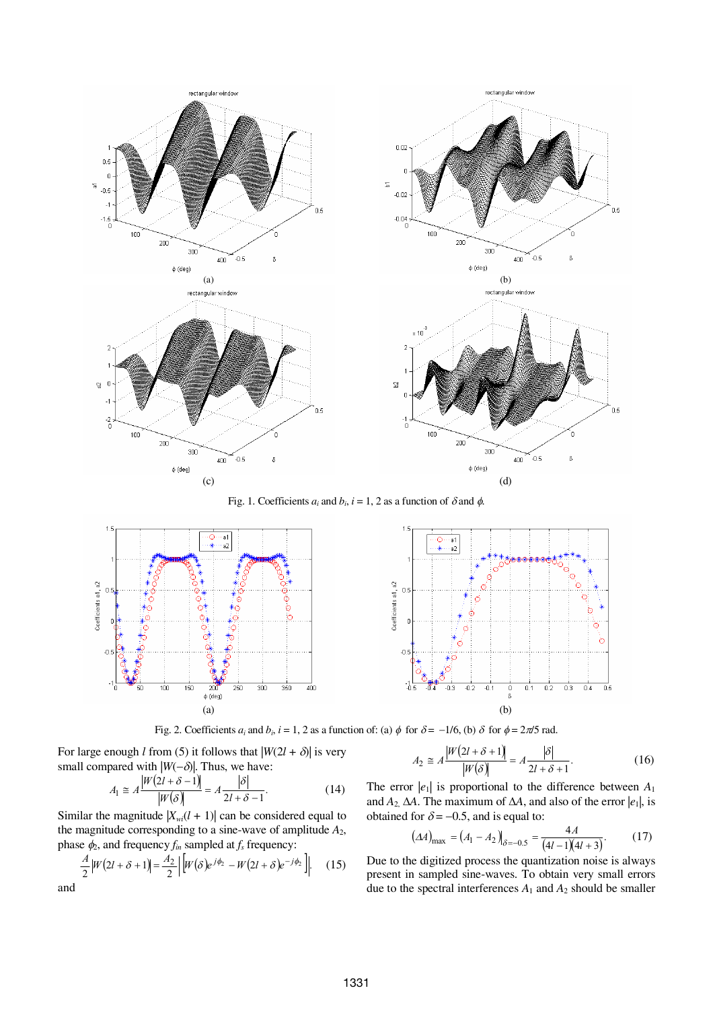

Fig. 1. Coefficients  $a_i$  and  $b_i$ ,  $i = 1, 2$  as a function of  $\delta$  and  $\phi$ .



Fig. 2. Coefficients  $a_i$  and  $b_i$ ,  $i = 1, 2$  as a function of: (a)  $\phi$  for  $\delta = -1/6$ , (b)  $\delta$  for  $\phi = 2\pi/5$  rad.

For large enough *l* from (5) it follows that  $|W(2l + \delta)|$  is very small compared with  $|W(-\delta)|$ . Thus, we have:

$$
A_1 \cong A \frac{|W(2l + \delta - 1)|}{|W(\delta)|} = A \frac{|\delta|}{2l + \delta - 1}.
$$
 (14)

Similar the magnitude  $|X_{wi}(l + 1)|$  can be considered equal to the magnitude corresponding to a sine-wave of amplitude *A*2, phase  $\phi_2$ , and frequency  $f_{in}$  sampled at  $f_s$  frequency:

and

$$
\frac{A}{2}|W(2l+\delta+1)| = \frac{A_2}{2} |W(\delta)e^{j\phi_2} - W(2l+\delta)e^{-j\phi_2}|.
$$
 (15)

$$
A_2 \cong A \frac{|W(2l + \delta + 1)|}{|W(\delta)|} = A \frac{|\delta|}{2l + \delta + 1}.
$$
 (16)

The error  $|e_1|$  is proportional to the difference between  $A_1$ and  $A_2$   $\Delta A$ . The maximum of  $\Delta A$ , and also of the error  $|e_1|$ , is obtained for  $\delta = -0.5$ , and is equal to:

$$
(\Delta A)_{\text{max}} = (A_1 - A_2)_{\delta = -0.5} = \frac{4A}{(4l - 1)(4l + 3)}.
$$
 (17)

Due to the digitized process the quantization noise is always present in sampled sine-waves. To obtain very small errors due to the spectral interferences  $A_1$  and  $A_2$  should be smaller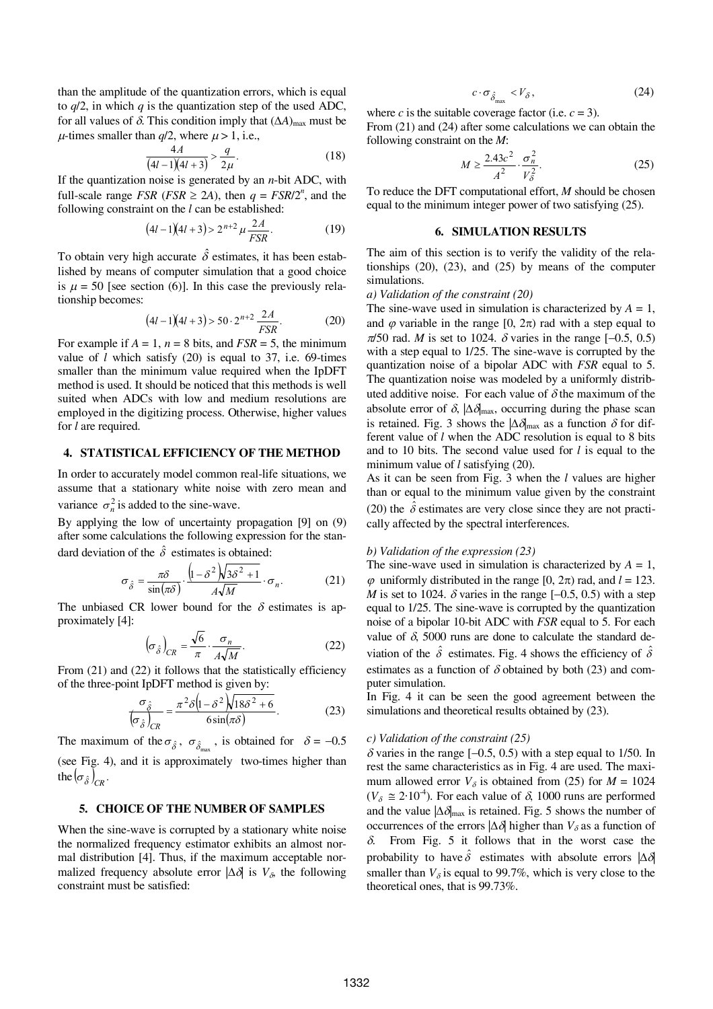than the amplitude of the quantization errors, which is equal to *q*/2, in which *q* is the quantization step of the used ADC, for all values of  $\delta$ . This condition imply that  $(\Delta A)_{\text{max}}$  must be  $\mu$ -times smaller than  $q/2$ , where  $\mu > 1$ , i.e.,

$$
\frac{4A}{(4l-1)(4l+3)} > \frac{q}{2\mu}.
$$
 (18)

If the quantization noise is generated by an *n*-bit ADC, with full-scale range *FSR* (*FSR*  $\geq$  2A), then  $q = FSR/2^n$ , and the following constraint on the *l* can be established:

$$
(4l - 1)(4l + 3) > 2^{n+2} \mu \frac{2A}{FSR}.
$$
 (19)

To obtain very high accurate  $\hat{\delta}$  estimates, it has been established by means of computer simulation that a good choice is  $\mu = 50$  [see section (6)]. In this case the previously relationship becomes:

$$
(4l-1)(4l+3) > 50 \cdot 2^{n+2} \frac{2A}{FSR}.
$$
 (20)

For example if  $A = 1$ ,  $n = 8$  bits, and  $FSR = 5$ , the minimum value of *l* which satisfy (20) is equal to 37, i.e. 69-times smaller than the minimum value required when the IpDFT method is used. It should be noticed that this methods is well suited when ADCs with low and medium resolutions are employed in the digitizing process. Otherwise, higher values for *l* are required.

## **4. STATISTICAL EFFICIENCY OF THE METHOD**

In order to accurately model common real-life situations, we assume that a stationary white noise with zero mean and variance  $\sigma_n^2$  is added to the sine-wave.

By applying the low of uncertainty propagation [9] on (9) after some calculations the following expression for the standard deviation of the  $\hat{\delta}$  estimates is obtained:

$$
\sigma_{\hat{\delta}} = \frac{\pi \delta}{\sin(\pi \delta)} \cdot \frac{\left(1 - \delta^2 \right) \sqrt{3\delta^2 + 1}}{A\sqrt{M}} \cdot \sigma_n. \tag{21}
$$

The unbiased CR lower bound for the  $\delta$  estimates is approximately [4]:

$$
\left(\sigma_{\hat{\delta}}\right)_{CR} = \frac{\sqrt{6}}{\pi} \cdot \frac{\sigma_n}{A\sqrt{M}}.\tag{22}
$$

From (21) and (22) it follows that the statistically efficiency of the three-point IpDFT method is given by:

$$
\frac{\sigma_{\hat{\delta}}}{\left(\sigma_{\hat{\delta}}\right)_{CR}} = \frac{\pi^2 \delta \left(1 - \delta^2 \right) \sqrt{18 \delta^2 + 6}}{6 \sin(\pi \delta)}.
$$
 (23)

The maximum of the  $\sigma_{\hat{\delta}}$ ,  $\sigma_{\hat{\delta}_{\text{max}}}$ , is obtained for  $\delta = -0.5$ (see Fig. 4), and it is approximately two-times higher than the  $\left(\sigma_{\hat{\delta}}\right)_{CR}$ .

## **5. CHOICE OF THE NUMBER OF SAMPLES**

When the sine-wave is corrupted by a stationary white noise the normalized frequency estimator exhibits an almost normal distribution [4]. Thus, if the maximum acceptable normalized frequency absolute error  $|\Delta \delta|$  is  $V_{\delta}$ , the following constraint must be satisfied:

$$
c \cdot \sigma_{\hat{\delta}_{\text{max}}} < V_{\delta} \,,\tag{24}
$$

where *c* is the suitable coverage factor (i.e.  $c = 3$ ).

From (21) and (24) after some calculations we can obtain the following constraint on the *M*:

$$
M \ge \frac{2.43c^2}{A^2} \cdot \frac{\sigma_n^2}{V_\delta^2}.\tag{25}
$$

To reduce the DFT computational effort, *M* should be chosen equal to the minimum integer power of two satisfying (25).

#### **6. SIMULATION RESULTS**

The aim of this section is to verify the validity of the relationships (20), (23), and (25) by means of the computer simulations.

### *a) Validation of the constraint (20)*

The sine-wave used in simulation is characterized by  $A = 1$ , and  $\varphi$  variable in the range [0,  $2\pi$ ) rad with a step equal to  $\pi/50$  rad. *M* is set to 1024.  $\delta$  varies in the range [-0.5, 0.5) with a step equal to 1/25. The sine-wave is corrupted by the quantization noise of a bipolar ADC with *FSR* equal to 5. The quantization noise was modeled by a uniformly distributed additive noise. For each value of  $\delta$  the maximum of the absolute error of  $\delta$ ,  $|\Delta \delta_{\text{max}}|$ , occurring during the phase scan is retained. Fig. 3 shows the  $|\Delta \delta_{\text{max}}|$  as a function  $\delta$  for different value of *l* when the ADC resolution is equal to 8 bits and to 10 bits. The second value used for *l* is equal to the minimum value of *l* satisfying (20).

As it can be seen from Fig. 3 when the *l* values are higher than or equal to the minimum value given by the constraint (20) the  $\hat{\delta}$  estimates are very close since they are not practically affected by the spectral interferences.

#### *b) Validation of the expression (23)*

The sine-wave used in simulation is characterized by  $A = 1$ ,  $\varphi$  uniformly distributed in the range [0,  $2\pi$ ) rad, and  $l = 123$ . *M* is set to 1024.  $\delta$  varies in the range  $[-0.5, 0.5)$  with a step equal to 1/25. The sine-wave is corrupted by the quantization noise of a bipolar 10-bit ADC with *FSR* equal to 5. For each value of  $\delta$ , 5000 runs are done to calculate the standard deviation of the  $\hat{\delta}$  estimates. Fig. 4 shows the efficiency of  $\hat{\delta}$ estimates as a function of  $\delta$  obtained by both (23) and computer simulation.

In Fig. 4 it can be seen the good agreement between the simulations and theoretical results obtained by (23).

#### *c) Validation of the constraint (25)*

 $\delta$  varies in the range [-0.5, 0.5) with a step equal to 1/50. In rest the same characteristics as in Fig. 4 are used. The maximum allowed error  $V_{\delta}$  is obtained from (25) for  $M = 1024$  $(V_{\delta} \cong 2.10^4)$ . For each value of  $\delta$ , 1000 runs are performed and the value  $|\Delta \delta_{\text{max}}|$  is retained. Fig. 5 shows the number of occurrences of the errors  $|\Delta \delta|$  higher than  $V_{\delta}$  as a function of  $\delta$ . From Fig. 5 it follows that in the worst case the probability to have  $\hat{\delta}$  estimates with absolute errors  $|\Delta \delta|$ smaller than  $V_{\delta}$  is equal to 99.7%, which is very close to the theoretical ones, that is 99.73%.